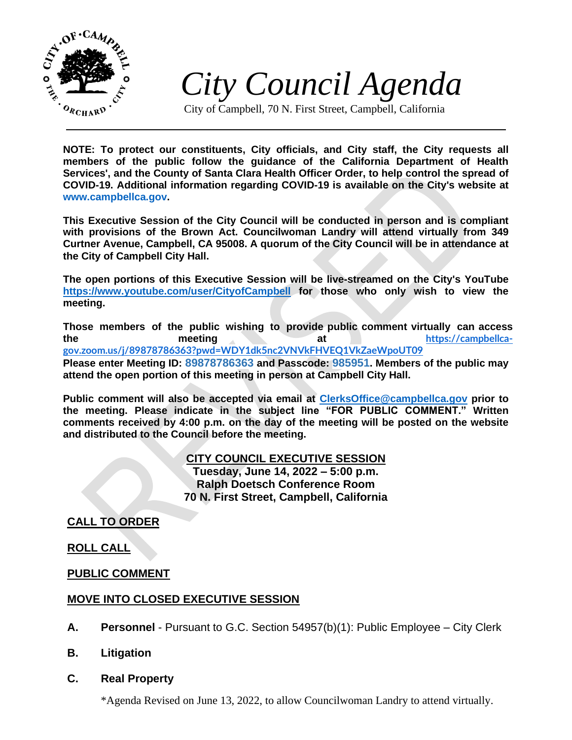

*City Council Agenda*

City of Campbell, 70 N. First Street, Campbell, California

**NOTE: To protect our constituents, City officials, and City staff, the City requests all members of the public follow the guidance of the California Department of Health Services', and the County of Santa Clara Health Officer Order, to help control the spread of COVID-19. Additional information regarding COVID-19 is available on the City's website at [www.campbellca.gov.](http://www.campbellca.gov/)**

**This Executive Session of the City Council will be conducted in person and is compliant with provisions of the Brown Act. Councilwoman Landry will attend virtually from 349 Curtner Avenue, Campbell, CA 95008. A quorum of the City Council will be in attendance at the City of Campbell City Hall.**

**The open portions of this Executive Session will be live-streamed on the City's YouTube <https://www.youtube.com/user/CityofCampbell> for those who only wish to view the meeting.**

**Those members of the public wishing to provide public comment virtually can access the meeting at [https://campbellca](https://campbellca-gov.zoom.us/j/89878786363?pwd=WDY1dk5nc2VNVkFHVEQ1VkZaeWpoUT09)[gov.zoom.us/j/89878786363?pwd=WDY1dk5nc2VNVkFHVEQ1VkZaeWpoUT09](https://campbellca-gov.zoom.us/j/89878786363?pwd=WDY1dk5nc2VNVkFHVEQ1VkZaeWpoUT09) Please enter Meeting ID: 89878786363 and Passcode: 985951. Members of the public may attend the open portion of this meeting in person at Campbell City Hall.**

**Public comment will also be accepted via email at<ClerksOffice@campbellca.gov> prior to the meeting. Please indicate in the subject line "FOR PUBLIC COMMENT." Written comments received by 4:00 p.m. on the day of the meeting will be posted on the website and distributed to the Council before the meeting.**

> **CITY COUNCIL EXECUTIVE SESSION Tuesday, June 14, 2022 – 5:00 p.m. Ralph Doetsch Conference Room 70 N. First Street, Campbell, California**

**CALL TO ORDER**

**ROLL CALL**

**PUBLIC COMMENT**

## **MOVE INTO CLOSED EXECUTIVE SESSION**

- **A. Personnel** Pursuant to G.C. Section 54957(b)(1): Public Employee City Clerk
- **B. Litigation**
- **C. Real Property**

\*Agenda Revised on June 13, 2022, to allow Councilwoman Landry to attend virtually.